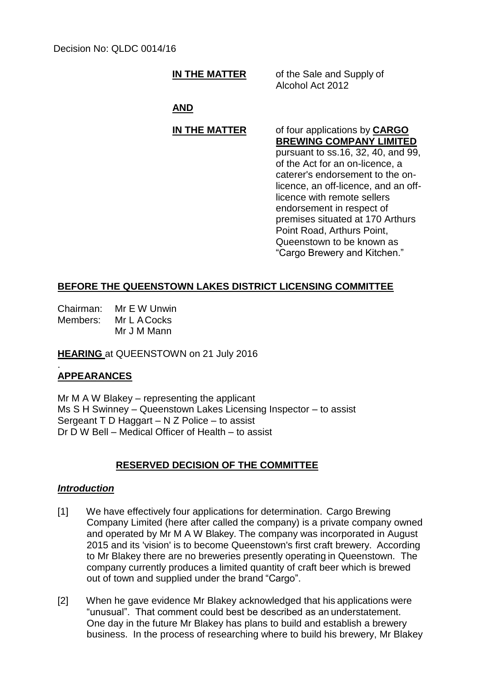# **IN THE MATTER** of the Sale and Supply of

Alcohol Act 2012

#### **AND**

## **IN THE MATTER** of four applications by **CARGO**

**BREWING COMPANY LIMITED** pursuant to ss.16, 32, 40, and 99, of the Act for an on-licence, a caterer's endorsement to the onlicence, an off-licence, and an offlicence with remote sellers endorsement in respect of premises situated at 170 Arthurs Point Road, Arthurs Point, Queenstown to be known as "Cargo Brewery and Kitchen."

### **BEFORE THE QUEENSTOWN LAKES DISTRICT LICENSING COMMITTEE**

Chairman: Mr E W Unwin Members: Mr L ACocks Mr J M Mann

**HEARING** at QUEENSTOWN on 21 July 2016

#### . **APPEARANCES**

Mr M A W Blakey – representing the applicant Ms S H Swinney – Queenstown Lakes Licensing Inspector – to assist Sergeant T D Haggart – N Z Police – to assist Dr  $\overline{D}$  W Bell – Medical Officer of Health – to assist

### **RESERVED DECISION OF THE COMMITTEE**

#### *Introduction*

- [1] We have effectively four applications for determination. Cargo Brewing Company Limited (here after called the company) is a private company owned and operated by Mr M A W Blakey. The company was incorporated in August 2015 and its 'vision' is to become Queenstown's first craft brewery. According to Mr Blakey there are no breweries presently operating in Queenstown. The company currently produces a limited quantity of craft beer which is brewed out of town and supplied under the brand "Cargo".
- [2] When he gave evidence Mr Blakey acknowledged that his applications were "unusual". That comment could best be described as an understatement. One day in the future Mr Blakey has plans to build and establish a brewery business. In the process of researching where to build his brewery, Mr Blakey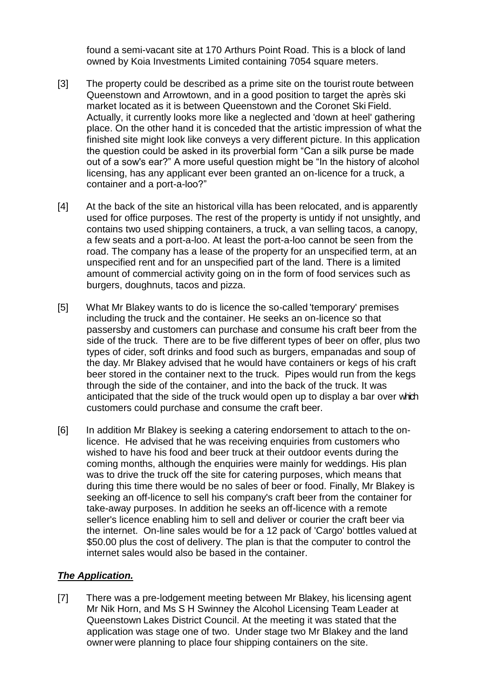found a semi-vacant site at 170 Arthurs Point Road. This is a block of land owned by Koia Investments Limited containing 7054 square meters.

- [3] The property could be described as a prime site on the tourist route between Queenstown and Arrowtown, and in a good position to target the après ski market located as it is between Queenstown and the Coronet Ski Field. Actually, it currently looks more like a neglected and 'down at heel' gathering place. On the other hand it is conceded that the artistic impression of what the finished site might look like conveys a very different picture. In this application the question could be asked in its proverbial form "Can a silk purse be made out of a sow's ear?" A more useful question might be "In the history of alcohol licensing, has any applicant ever been granted an on-licence for a truck, a container and a port-a-loo?"
- [4] At the back of the site an historical villa has been relocated, and is apparently used for office purposes. The rest of the property is untidy if not unsightly, and contains two used shipping containers, a truck, a van selling tacos, a canopy, a few seats and a port-a-loo. At least the port-a-loo cannot be seen from the road. The company has a lease of the property for an unspecified term, at an unspecified rent and for an unspecified part of the land. There is a limited amount of commercial activity going on in the form of food services such as burgers, doughnuts, tacos and pizza.
- [5] What Mr Blakey wants to do is licence the so-called 'temporary' premises including the truck and the container. He seeks an on-licence so that passersby and customers can purchase and consume his craft beer from the side of the truck. There are to be five different types of beer on offer, plus two types of cider, soft drinks and food such as burgers, empanadas and soup of the day. Mr Blakey advised that he would have containers or kegs of his craft beer stored in the container next to the truck. Pipes would run from the kegs through the side of the container, and into the back of the truck. It was anticipated that the side of the truck would open up to display a bar over which customers could purchase and consume the craft beer.
- [6] In addition Mr Blakey is seeking a catering endorsement to attach to the onlicence. He advised that he was receiving enquiries from customers who wished to have his food and beer truck at their outdoor events during the coming months, although the enquiries were mainly for weddings. His plan was to drive the truck off the site for catering purposes, which means that during this time there would be no sales of beer or food. Finally, Mr Blakey is seeking an off-licence to sell his company's craft beer from the container for take-away purposes. In addition he seeks an off-licence with a remote seller's licence enabling him to sell and deliver or courier the craft beer via the internet. On-line sales would be for a 12 pack of 'Cargo' bottles valued at \$50.00 plus the cost of delivery. The plan is that the computer to control the internet sales would also be based in the container.

### *The Application.*

[7] There was a pre-lodgement meeting between Mr Blakey, his licensing agent Mr Nik Horn, and Ms S H Swinney the Alcohol Licensing Team Leader at Queenstown Lakes District Council. At the meeting it was stated that the application was stage one of two. Under stage two Mr Blakey and the land owner were planning to place four shipping containers on the site.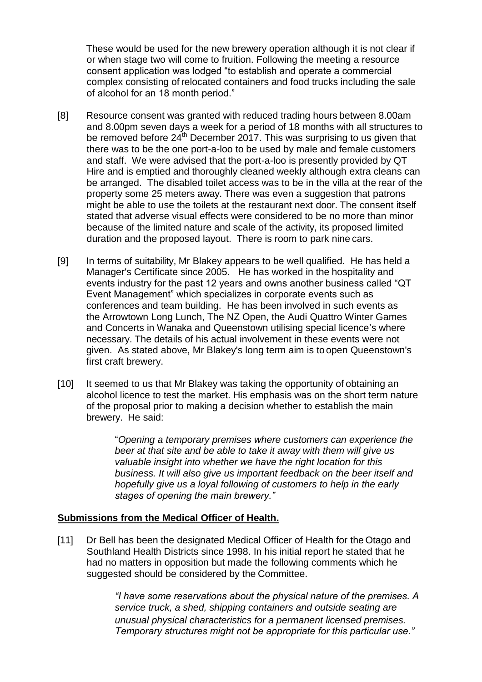These would be used for the new brewery operation although it is not clear if or when stage two will come to fruition. Following the meeting a resource consent application was lodged "to establish and operate a commercial complex consisting of relocated containers and food trucks including the sale of alcohol for an 18 month period."

- [8] Resource consent was granted with reduced trading hours between 8.00am and 8.00pm seven days a week for a period of 18 months with all structures to be removed before  $24<sup>th</sup>$  December 2017. This was surprising to us given that there was to be the one port-a-loo to be used by male and female customers and staff. We were advised that the port-a-loo is presently provided by QT Hire and is emptied and thoroughly cleaned weekly although extra cleans can be arranged. The disabled toilet access was to be in the villa at the rear of the property some 25 meters away. There was even a suggestion that patrons might be able to use the toilets at the restaurant next door. The consent itself stated that adverse visual effects were considered to be no more than minor because of the limited nature and scale of the activity, its proposed limited duration and the proposed layout. There is room to park nine cars.
- [9] In terms of suitability, Mr Blakey appears to be well qualified. He has held a Manager's Certificate since 2005. He has worked in the hospitality and events industry for the past 12 years and owns another business called "QT Event Management" which specializes in corporate events such as conferences and team building. He has been involved in such events as the Arrowtown Long Lunch, The NZ Open, the Audi Quattro Winter Games and Concerts in Wanaka and Queenstown utilising special licence's where necessary. The details of his actual involvement in these events were not given. As stated above, Mr Blakey's long term aim is to open Queenstown's first craft brewery.
- [10] It seemed to us that Mr Blakey was taking the opportunity of obtaining an alcohol licence to test the market. His emphasis was on the short term nature of the proposal prior to making a decision whether to establish the main brewery. He said:

"*Opening a temporary premises where customers can experience the beer at that site and be able to take it away with them will give us valuable insight into whether we have the right location for this business. It will also give us important feedback on the beer itself and hopefully give us a loyal following of customers to help in the early stages of opening the main brewery."*

### **Submissions from the Medical Officer of Health.**

[11] Dr Bell has been the designated Medical Officer of Health for the Otago and Southland Health Districts since 1998. In his initial report he stated that he had no matters in opposition but made the following comments which he suggested should be considered by the Committee.

> *"I have some reservations about the physical nature of the premises. A service truck, a shed, shipping containers and outside seating are unusual physical characteristics for a permanent licensed premises. Temporary structures might not be appropriate for this particular use."*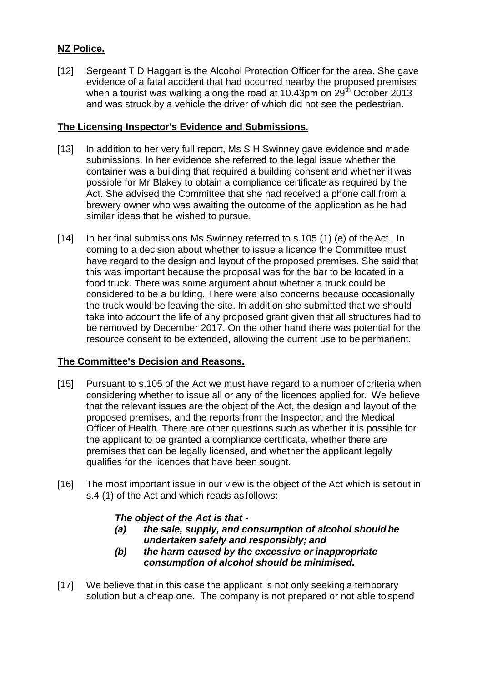# **NZ Police.**

[12] Sergeant T D Haggart is the Alcohol Protection Officer for the area. She gave evidence of a fatal accident that had occurred nearby the proposed premises when a tourist was walking along the road at 10.43pm on  $29<sup>th</sup>$  October 2013 and was struck by a vehicle the driver of which did not see the pedestrian.

## **The Licensing Inspector's Evidence and Submissions.**

- [13] In addition to her very full report, Ms S H Swinney gave evidence and made submissions. In her evidence she referred to the legal issue whether the container was a building that required a building consent and whether it was possible for Mr Blakey to obtain a compliance certificate as required by the Act. She advised the Committee that she had received a phone call from a brewery owner who was awaiting the outcome of the application as he had similar ideas that he wished to pursue.
- [14] In her final submissions Ms Swinney referred to s.105 (1) (e) of the Act. In coming to a decision about whether to issue a licence the Committee must have regard to the design and layout of the proposed premises. She said that this was important because the proposal was for the bar to be located in a food truck. There was some argument about whether a truck could be considered to be a building. There were also concerns because occasionally the truck would be leaving the site. In addition she submitted that we should take into account the life of any proposed grant given that all structures had to be removed by December 2017. On the other hand there was potential for the resource consent to be extended, allowing the current use to be permanent.

# **The Committee's Decision and Reasons.**

- [15] Pursuant to s.105 of the Act we must have regard to a number of criteria when considering whether to issue all or any of the licences applied for. We believe that the relevant issues are the object of the Act, the design and layout of the proposed premises, and the reports from the Inspector, and the Medical Officer of Health. There are other questions such as whether it is possible for the applicant to be granted a compliance certificate, whether there are premises that can be legally licensed, and whether the applicant legally qualifies for the licences that have been sought.
- [16] The most important issue in our view is the object of the Act which is set out in s.4 (1) of the Act and which reads as follows:

### *The object of the Act is that -*

- *(a) the sale, supply, and consumption of alcohol should be undertaken safely and responsibly; and*
- *(b) the harm caused by the excessive or inappropriate consumption of alcohol should be minimised.*
- [17] We believe that in this case the applicant is not only seeking a temporary solution but a cheap one. The company is not prepared or not able to spend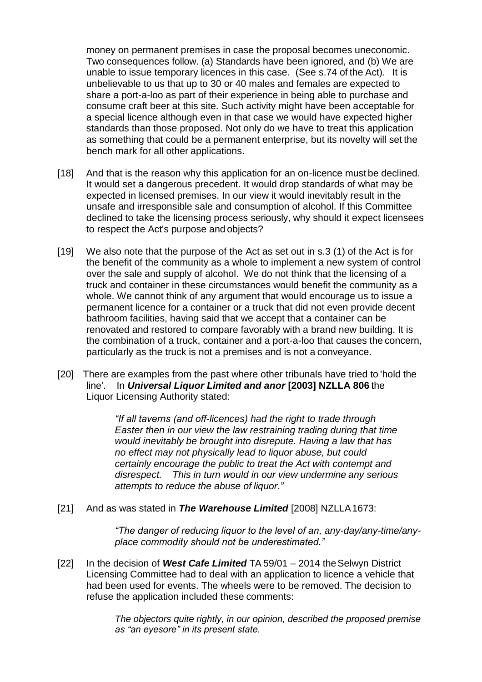money on permanent premises in case the proposal becomes uneconomic. Two consequences follow. (a) Standards have been ignored, and (b) We are unable to issue temporary licences in this case. (See s.74 of the Act). It is unbelievable to us that up to 30 or 40 males and females are expected to share a port-a-loo as part of their experience in being able to purchase and consume craft beer at this site. Such activity might have been acceptable for a special licence although even in that case we would have expected higher standards than those proposed. Not only do we have to treat this application as something that could be a permanent enterprise, but its novelty will set the bench mark for all other applications.

- [18] And that is the reason why this application for an on-licence must be declined. It would set a dangerous precedent. It would drop standards of what may be expected in licensed premises. In our view it would inevitably result in the unsafe and irresponsible sale and consumption of alcohol. If this Committee declined to take the licensing process seriously, why should it expect licensees to respect the Act's purpose and objects?
- [19] We also note that the purpose of the Act as set out in s.3 (1) of the Act is for the benefit of the community as a whole to implement a new system of control over the sale and supply of alcohol. We do not think that the licensing of a truck and container in these circumstances would benefit the community as a whole. We cannot think of any argument that would encourage us to issue a permanent licence for a container or a truck that did not even provide decent bathroom facilities, having said that we accept that a container can be renovated and restored to compare favorably with a brand new building. It is the combination of a truck, container and a port-a-loo that causes the concern, particularly as the truck is not a premises and is not a conveyance.
- [20] There are examples from the past where other tribunals have tried to 'hold the line'. In *Universal Liquor Limited and anor* **[2003] NZLLA 806** the Liquor Licensing Authority stated:

*"If all taverns (and off-licences) had the right to trade through Easter then in our view the law restraining trading during that time would inevitably be brought into disrepute. Having a law that has no effect may not physically lead to liquor abuse, but could certainly encourage the public to treat the Act with contempt and disrespect. This in turn would in our view undermine any serious attempts to reduce the abuse of liquor."*

[21] And as was stated in *The Warehouse Limited* [2008] NZLLA1673:

*"The danger of reducing liquor to the level of an, any-day/any-time/anyplace commodity should not be underestimated."*

[22] In the decision of **West Cafe Limited** TA 59/01 – 2014 the Selwyn District Licensing Committee had to deal with an application to licence a vehicle that had been used for events. The wheels were to be removed. The decision to refuse the application included these comments:

> *The objectors quite rightly, in our opinion, described the proposed premise as "an eyesore" in its present state.*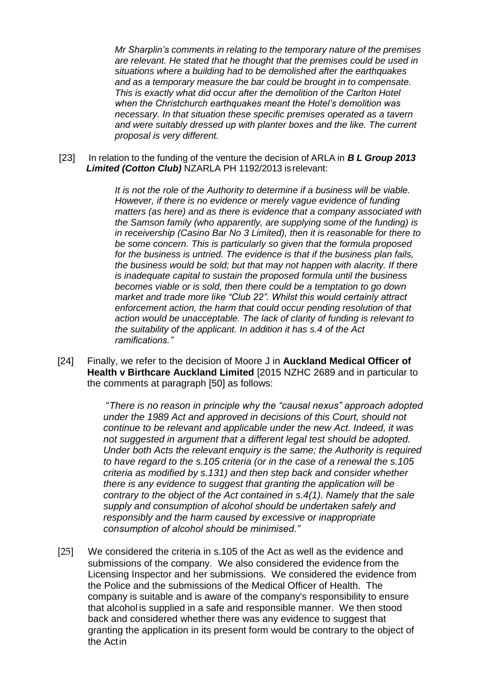*Mr Sharplin's comments in relating to the temporary nature of the premises are relevant. He stated that he thought that the premises could be used in situations where a building had to be demolished after the earthquakes and as a temporary measure the bar could be brought in to compensate. This is exactly what did occur after the demolition of the Carlton Hotel when the Christchurch earthquakes meant the Hotel's demolition was necessary. In that situation these specific premises operated as a tavern and were suitably dressed up with planter boxes and the like. The current proposal is very different.*

[23] In relation to the funding of the venture the decision of ARLA in *B L Group 2013 Limited (Cotton Club)* NZARLA PH 1192/2013 isrelevant:

> *It is not the role of the Authority to determine if a business will be viable. However, if there is no evidence or merely vague evidence of funding matters (as here) and as there is evidence that a company associated with the Samson family (who apparently, are supplying some of the funding) is in receivership (Casino Bar No 3 Limited), then it is reasonable for there to be some concern. This is particularly so given that the formula proposed for the business is untried. The evidence is that if the business plan fails, the business would be sold; but that may not happen with alacrity. If there is inadequate capital to sustain the proposed formula until the business becomes viable or is sold, then there could be a temptation to go down market and trade more like "Club 22". Whilst this would certainly attract enforcement action, the harm that could occur pending resolution of that action would be unacceptable. The lack of clarity of funding is relevant to the suitability of the applicant. In addition it has s.4 of the Act ramifications."*

[24] Finally, we refer to the decision of Moore J in **Auckland Medical Officer of Health v Birthcare Auckland Limited** [2015 NZHC 2689 and in particular to the comments at paragraph [50] as follows:

> "*There is no reason in principle why the "causal nexus" approach adopted under the 1989 Act and approved in decisions of this Court, should not continue to be relevant and applicable under the new Act. Indeed, it was not suggested in argument that a different legal test should be adopted. Under both Acts the relevant enquiry is the same; the Authority is required to have regard to the s.105 criteria (or in the case of a renewal the s.105 criteria as modified by s.131) and then step back and consider whether there is any evidence to suggest that granting the application will be contrary to the object of the Act contained in s.4(1). Namely that the sale supply and consumption of alcohol should be undertaken safely and responsibly and the harm caused by excessive or inappropriate consumption of alcohol should be minimised."*

[25] We considered the criteria in s.105 of the Act as well as the evidence and submissions of the company. We also considered the evidence from the Licensing Inspector and her submissions. We considered the evidence from the Police and the submissions of the Medical Officer of Health. The company is suitable and is aware of the company's responsibility to ensure that alcohol is supplied in a safe and responsible manner. We then stood back and considered whether there was any evidence to suggest that granting the application in its present form would be contrary to the object of the Actin